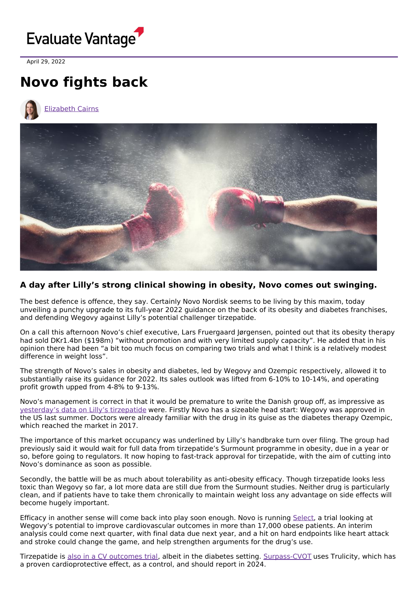

April 29, 2022

## **Novo fights back**





## **A day after Lilly's strong clinical showing in obesity, Novo comes out swinging.**

The best defence is offence, they say. Certainly Novo Nordisk seems to be living by this maxim, today unveiling a punchy upgrade to its full-year 2022 guidance on the back of its obesity and diabetes franchises, and defending Wegovy against Lilly's potential challenger tirzepatide.

On a call this afternoon Novo's chief executive, Lars Fruergaard Jørgensen, pointed out that its obesity therapy had sold DKr1.4bn (\$198m) "without promotion and with very limited supply capacity". He added that in his opinion there had been "a bit too much focus on comparing two trials and what I think is a relatively modest difference in weight loss".

The strength of Novo's sales in obesity and diabetes, led by Wegovy and Ozempic respectively, allowed it to substantially raise its guidance for 2022. Its sales outlook was lifted from 6-10% to 10-14%, and operating profit growth upped from 4-8% to 9-13%.

Novo's management is correct in that it would be premature to write the Danish group off, as impressive as [yesterday's](https://www.evaluate.com/vantage/articles/news/trial-results/lilly-takes-novo-obesity-0) data on Lilly's tirzepatide were. Firstly Novo has a sizeable head start: Wegovy was approved in the US last summer. Doctors were already familiar with the drug in its guise as the diabetes therapy Ozempic, which reached the market in 2017.

The importance of this market occupancy was underlined by Lilly's handbrake turn over filing. The group had previously said it would wait for full data from tirzepatide's Surmount programme in obesity, due in a year or so, before going to regulators. It now hoping to fast-track approval for tirzepatide, with the aim of cutting into Novo's dominance as soon as possible.

Secondly, the battle will be as much about tolerability as anti-obesity efficacy. Though tirzepatide looks less toxic than Wegovy so far, a lot more data are still due from the Surmount studies. Neither drug is particularly clean, and if patients have to take them chronically to maintain weight loss any advantage on side effects will become hugely important.

Efficacy in another sense will come back into play soon enough. Novo is running [Select](https://clinicaltrials.gov/ct2/show/NCT03574597), a trial looking at Wegovy's potential to improve cardiovascular outcomes in more than 17,000 obese patients. An interim analysis could come next quarter, with final data due next year, and a hit on hard endpoints like heart attack and stroke could change the game, and help strengthen arguments for the drug's use.

Tirzepatide is also in a CV [outcomes](https://www.evaluate.com/vantage/articles/analysis/spotlight/tirzepatides-time-shine-lilly) trial, albeit in the diabetes setting. [Surpass-CVOT](https://clinicaltrials.gov/ct2/show/NCT04255433) uses Trulicity, which has a proven cardioprotective effect, as a control, and should report in 2024.